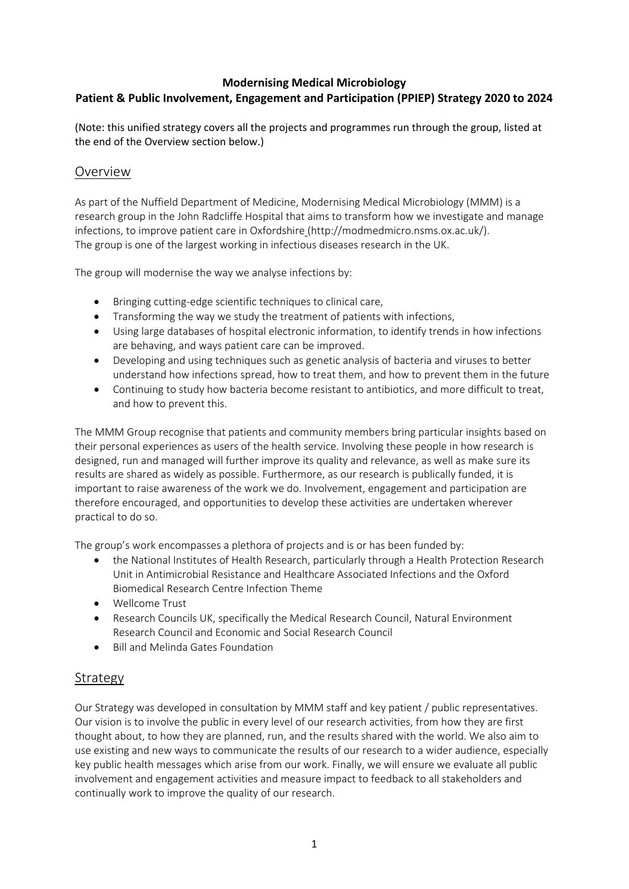### **Modernising Medical Microbiology Patient & Public Involvement, Engagement and Participation (PPIEP) Strategy 2020 to 2024**

(Note: this unified strategy covers all the projects and programmes run through the group, listed at the end of the Overview section below.)

### Overview

As part of the Nuffield Department of Medicine, Modernising Medical Microbiology (MMM) is a research group in the John Radcliffe Hospital that aims to transform how we investigate and manage infections, to improve patient care in Oxfordshire [\(http://modmedmicro.nsms.ox.ac.uk/\)](http://modmedmicro.nsms.ox.ac.uk/projects/). The group is one of the largest working in infectious diseases research in the UK.

The group will modernise the way we analyse infections by:

- Bringing cutting-edge scientific techniques to clinical care,
- Transforming the way we study the treatment of patients with infections,
- Using large databases of hospital electronic information, to identify trends in how infections are behaving, and ways patient care can be improved.
- Developing and using techniques such as genetic analysis of bacteria and viruses to better understand how infections spread, how to treat them, and how to prevent them in the future
- Continuing to study how bacteria become resistant to antibiotics, and more difficult to treat, and how to prevent this.

The MMM Group recognise that patients and community members bring particular insights based on their personal experiences as users of the health service. Involving these people in how research is designed, run and managed will further improve its quality and relevance, as well as make sure its results are shared as widely as possible. Furthermore, as our research is publically funded, it is important to raise awareness of the work we do. Involvement, engagement and participation are therefore encouraged, and opportunities to develop these activities are undertaken wherever practical to do so.

The group's work encompasses a plethora of projects and is or has been funded by:

- the National Institutes of Health Research, particularly through a Health Protection Research Unit in Antimicrobial Resistance and Healthcare Associated Infections and the Oxford Biomedical Research Centre Infection Theme
- Wellcome Trust
- Research Councils UK, specifically the Medical Research Council, Natural Environment Research Council and Economic and Social Research Council
- Bill and Melinda Gates Foundation

### Strategy

Our Strategy was developed in consultation by MMM staff and key patient / public representatives. Our vision is to involve the public in every level of our research activities, from how they are first thought about, to how they are planned, run, and the results shared with the world. We also aim to use existing and new ways to communicate the results of our research to a wider audience, especially key public health messages which arise from our work. Finally, we will ensure we evaluate all public involvement and engagement activities and measure impact to feedback to all stakeholders and continually work to improve the quality of our research.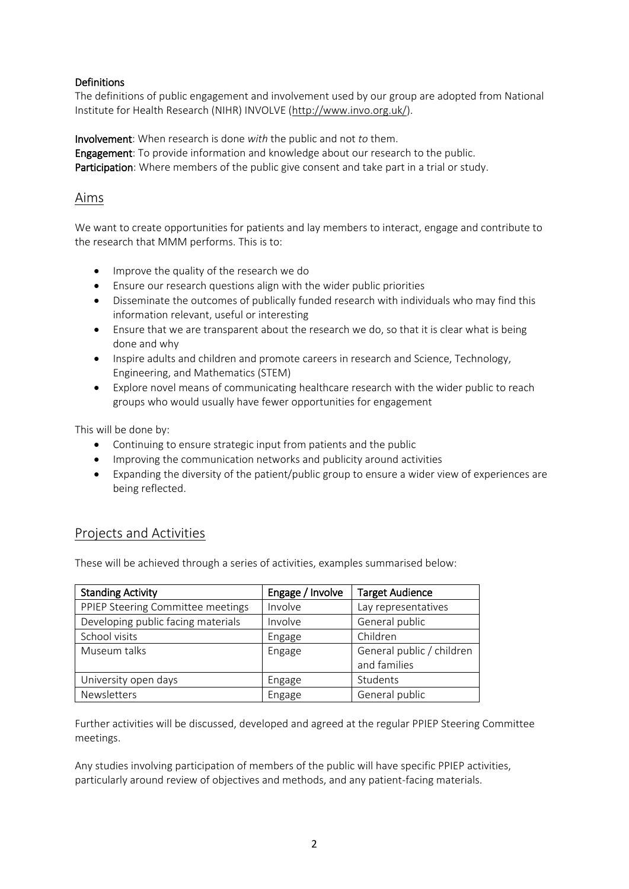#### **Definitions**

The definitions of public engagement and involvement used by our group are adopted from National Institute for Health Research (NIHR) INVOLVE [\(http://www.invo.org.uk/\)](http://www.invo.org.uk/).

Involvement: When research is done *with* the public and not *to* them. Engagement: To provide information and knowledge about our research to the public. Participation: Where members of the public give consent and take part in a trial or study.

### Aims

We want to create opportunities for patients and lay members to interact, engage and contribute to the research that MMM performs. This is to:

- Improve the quality of the research we do
- Ensure our research questions align with the wider public priorities
- Disseminate the outcomes of publically funded research with individuals who may find this information relevant, useful or interesting
- Ensure that we are transparent about the research we do, so that it is clear what is being done and why
- Inspire adults and children and promote careers in research and Science, Technology, Engineering, and Mathematics (STEM)
- Explore novel means of communicating healthcare research with the wider public to reach groups who would usually have fewer opportunities for engagement

This will be done by:

- Continuing to ensure strategic input from patients and the public
- Improving the communication networks and publicity around activities
- Expanding the diversity of the patient/public group to ensure a wider view of experiences are being reflected.

# Projects and Activities

These will be achieved through a series of activities, examples summarised below:

| <b>Standing Activity</b>           | Engage / Involve | <b>Target Audience</b>                    |
|------------------------------------|------------------|-------------------------------------------|
| PPIEP Steering Committee meetings  | Involve          | Lay representatives                       |
| Developing public facing materials | Involve          | General public                            |
| School visits                      | Engage           | Children                                  |
| Museum talks                       | Engage           | General public / children<br>and families |
| University open days               | Engage           | Students                                  |
| Newsletters                        | Engage           | General public                            |

Further activities will be discussed, developed and agreed at the regular PPIEP Steering Committee meetings.

Any studies involving participation of members of the public will have specific PPIEP activities, particularly around review of objectives and methods, and any patient-facing materials.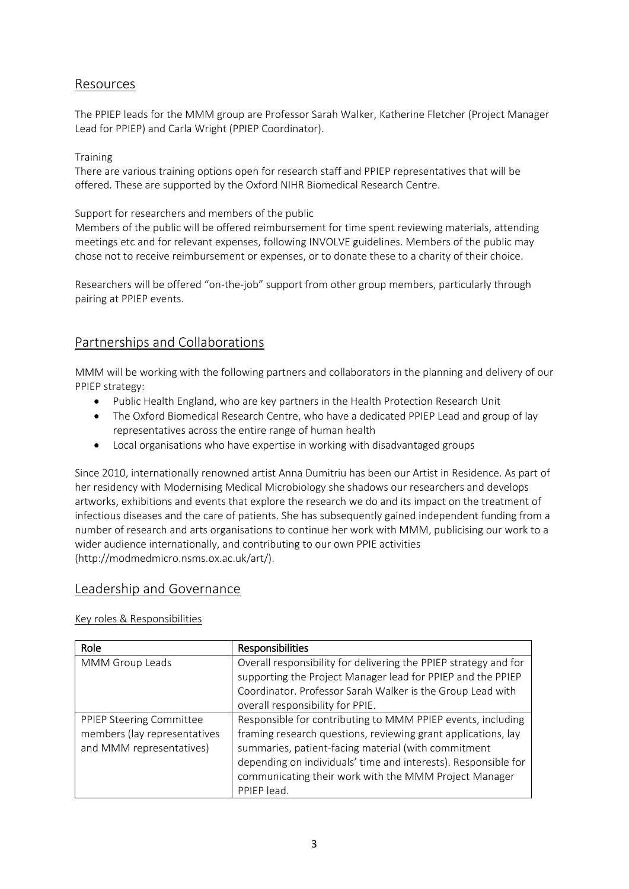## Resources

The PPIEP leads for the MMM group are Professor Sarah Walker, Katherine Fletcher (Project Manager Lead for PPIEP) and Carla Wright (PPIEP Coordinator).

#### **Training**

There are various training options open for research staff and PPIEP representatives that will be offered. These are supported by the Oxford NIHR Biomedical Research Centre.

Support for researchers and members of the public

Members of the public will be offered reimbursement for time spent reviewing materials, attending meetings etc and for relevant expenses, following INVOLVE guidelines. Members of the public may chose not to receive reimbursement or expenses, or to donate these to a charity of their choice.

Researchers will be offered "on-the-job" support from other group members, particularly through pairing at PPIEP events.

## Partnerships and Collaborations

MMM will be working with the following partners and collaborators in the planning and delivery of our PPIEP strategy:

- Public Health England, who are key partners in the Health Protection Research Unit
- The Oxford Biomedical Research Centre, who have a dedicated PPIEP Lead and group of lay representatives across the entire range of human health
- Local organisations who have expertise in working with disadvantaged groups

Since 2010, internationally renowned artist Anna Dumitriu has been our Artist in Residence. As part of her residency with Modernising Medical Microbiology she shadows our researchers and develops artworks, exhibitions and events that explore the research we do and its impact on the treatment of infectious diseases and the care of patients. She has subsequently gained independent funding from a number of research and arts organisations to continue her work with MMM, publicising our work to a wider audience internationally, and contributing to our own PPIE activities (http://modmedmicro.nsms.ox.ac.uk/art/).

### Leadership and Governance

#### Key roles & Responsibilities

| Role                         | <b>Responsibilities</b>                                          |
|------------------------------|------------------------------------------------------------------|
| MMM Group Leads              | Overall responsibility for delivering the PPIEP strategy and for |
|                              | supporting the Project Manager lead for PPIEP and the PPIEP      |
|                              | Coordinator. Professor Sarah Walker is the Group Lead with       |
|                              | overall responsibility for PPIE.                                 |
| PPIEP Steering Committee     | Responsible for contributing to MMM PPIEP events, including      |
| members (lay representatives | framing research questions, reviewing grant applications, lay    |
| and MMM representatives)     | summaries, patient-facing material (with commitment              |
|                              | depending on individuals' time and interests). Responsible for   |
|                              | communicating their work with the MMM Project Manager            |
|                              | PPIEP lead.                                                      |